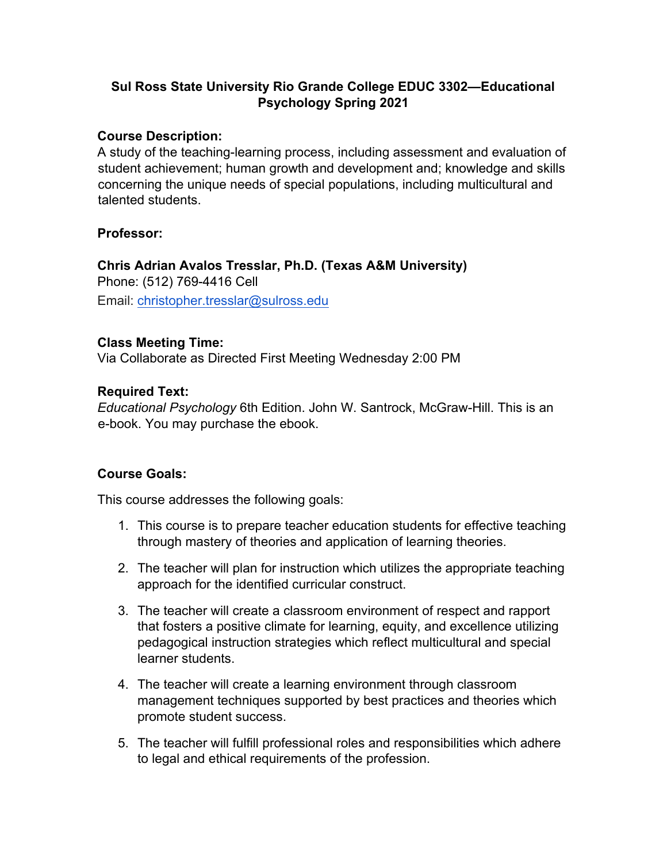### **Sul Ross State University Rio Grande College EDUC 3302—Educational Psychology Spring 2021**

#### **Course Description:**

A study of the teaching-learning process, including assessment and evaluation of student achievement; human growth and development and; knowledge and skills concerning the unique needs of special populations, including multicultural and talented students.

#### **Professor:**

### **Chris Adrian Avalos Tresslar, Ph.D. (Texas A&M University)** Phone: (512) 769-4416 Cell Email: christopher.tresslar@sulross.edu

#### **Class Meeting Time:**

Via Collaborate as Directed First Meeting Wednesday 2:00 PM

#### **Required Text:**

*Educational Psychology* 6th Edition. John W. Santrock, McGraw-Hill. This is an e-book. You may purchase the ebook.

#### **Course Goals:**

This course addresses the following goals:

- 1. This course is to prepare teacher education students for effective teaching through mastery of theories and application of learning theories.
- 2. The teacher will plan for instruction which utilizes the appropriate teaching approach for the identified curricular construct.
- 3. The teacher will create a classroom environment of respect and rapport that fosters a positive climate for learning, equity, and excellence utilizing pedagogical instruction strategies which reflect multicultural and special learner students.
- 4. The teacher will create a learning environment through classroom management techniques supported by best practices and theories which promote student success.
- 5. The teacher will fulfill professional roles and responsibilities which adhere to legal and ethical requirements of the profession.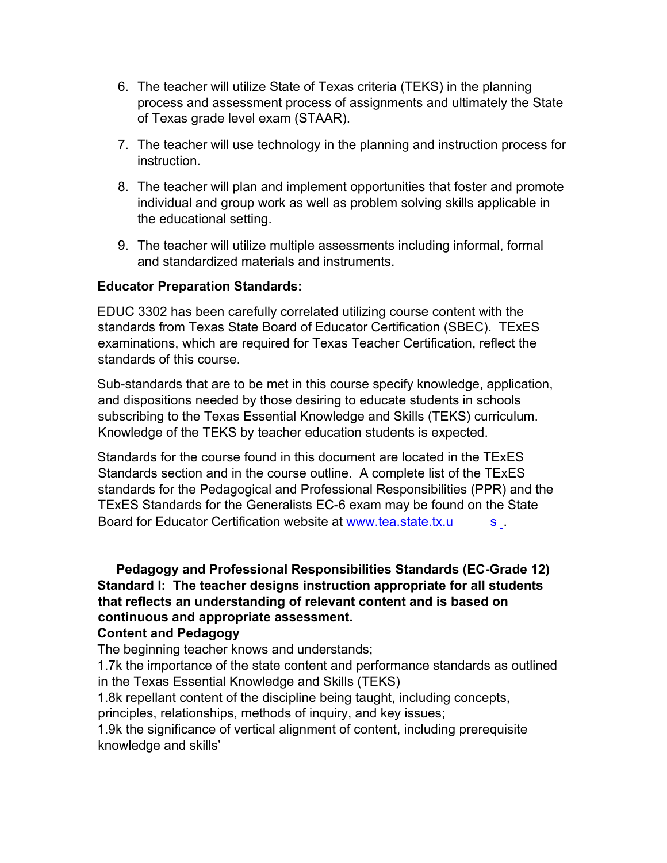- 6. The teacher will utilize State of Texas criteria (TEKS) in the planning process and assessment process of assignments and ultimately the State of Texas grade level exam (STAAR).
- 7. The teacher will use technology in the planning and instruction process for instruction.
- 8. The teacher will plan and implement opportunities that foster and promote individual and group work as well as problem solving skills applicable in the educational setting.
- 9. The teacher will utilize multiple assessments including informal, formal and standardized materials and instruments.

#### **Educator Preparation Standards:**

EDUC 3302 has been carefully correlated utilizing course content with the standards from Texas State Board of Educator Certification (SBEC). TExES examinations, which are required for Texas Teacher Certification, reflect the standards of this course.

Sub-standards that are to be met in this course specify knowledge, application, and dispositions needed by those desiring to educate students in schools subscribing to the Texas Essential Knowledge and Skills (TEKS) curriculum. Knowledge of the TEKS by teacher education students is expected.

Standards for the course found in this document are located in the TExES Standards section and in the course outline. A complete list of the TExES standards for the Pedagogical and Professional Responsibilities (PPR) and the TExES Standards for the Generalists EC-6 exam may be found on the State Board for Educator Certification website at www.tea.state.tx.u s

### **Pedagogy and Professional Responsibilities Standards (EC-Grade 12) Standard I: The teacher designs instruction appropriate for all students that reflects an understanding of relevant content and is based on continuous and appropriate assessment.**

#### **Content and Pedagogy**

The beginning teacher knows and understands;

1.7k the importance of the state content and performance standards as outlined in the Texas Essential Knowledge and Skills (TEKS)

1.8k repellant content of the discipline being taught, including concepts, principles, relationships, methods of inquiry, and key issues;

1.9k the significance of vertical alignment of content, including prerequisite knowledge and skills'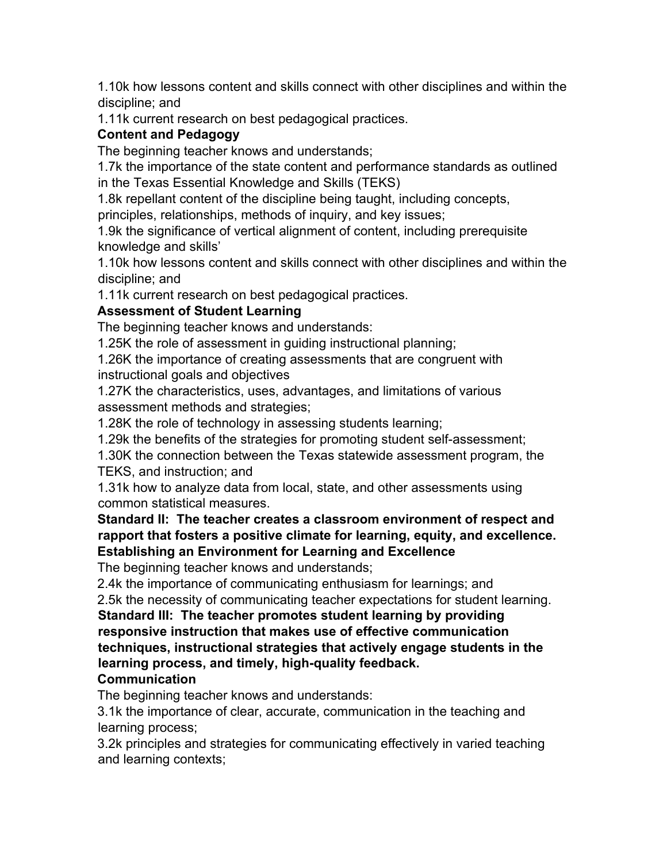1.10k how lessons content and skills connect with other disciplines and within the discipline; and

1.11k current research on best pedagogical practices.

## **Content and Pedagogy**

The beginning teacher knows and understands;

1.7k the importance of the state content and performance standards as outlined in the Texas Essential Knowledge and Skills (TEKS)

1.8k repellant content of the discipline being taught, including concepts,

principles, relationships, methods of inquiry, and key issues;

1.9k the significance of vertical alignment of content, including prerequisite knowledge and skills'

1.10k how lessons content and skills connect with other disciplines and within the discipline; and

1.11k current research on best pedagogical practices.

## **Assessment of Student Learning**

The beginning teacher knows and understands:

1.25K the role of assessment in guiding instructional planning;

1.26K the importance of creating assessments that are congruent with instructional goals and objectives

1.27K the characteristics, uses, advantages, and limitations of various assessment methods and strategies;

1.28K the role of technology in assessing students learning;

1.29k the benefits of the strategies for promoting student self-assessment;

1.30K the connection between the Texas statewide assessment program, the TEKS, and instruction; and

1.31k how to analyze data from local, state, and other assessments using common statistical measures.

**Standard II: The teacher creates a classroom environment of respect and rapport that fosters a positive climate for learning, equity, and excellence. Establishing an Environment for Learning and Excellence**

The beginning teacher knows and understands;

2.4k the importance of communicating enthusiasm for learnings; and

2.5k the necessity of communicating teacher expectations for student learning.

**Standard III: The teacher promotes student learning by providing responsive instruction that makes use of effective communication techniques, instructional strategies that actively engage students in the learning process, and timely, high-quality feedback.**

## **Communication**

The beginning teacher knows and understands:

3.1k the importance of clear, accurate, communication in the teaching and learning process;

3.2k principles and strategies for communicating effectively in varied teaching and learning contexts;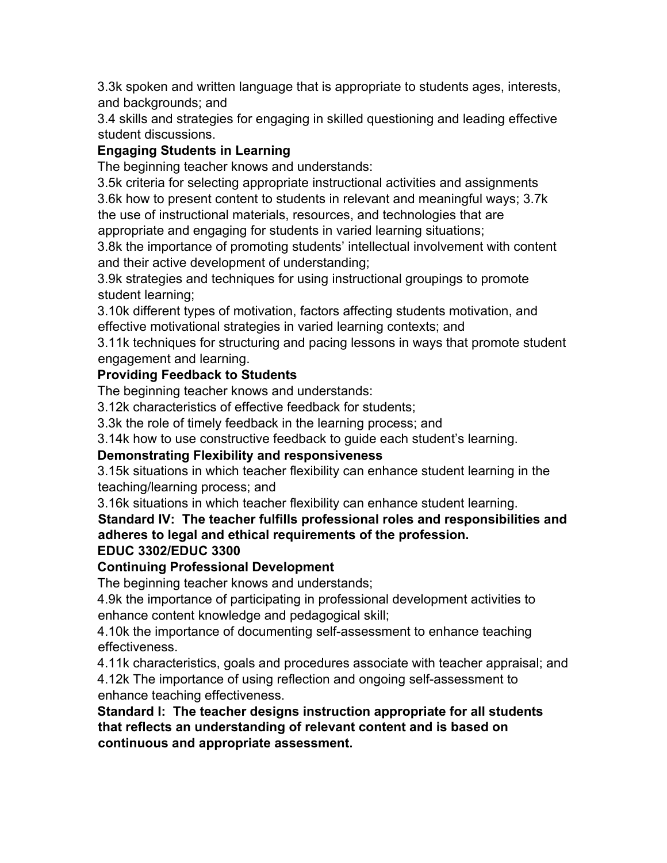3.3k spoken and written language that is appropriate to students ages, interests, and backgrounds; and

3.4 skills and strategies for engaging in skilled questioning and leading effective student discussions.

# **Engaging Students in Learning**

The beginning teacher knows and understands:

3.5k criteria for selecting appropriate instructional activities and assignments 3.6k how to present content to students in relevant and meaningful ways; 3.7k the use of instructional materials, resources, and technologies that are

appropriate and engaging for students in varied learning situations;

3.8k the importance of promoting students' intellectual involvement with content and their active development of understanding;

3.9k strategies and techniques for using instructional groupings to promote student learning;

3.10k different types of motivation, factors affecting students motivation, and effective motivational strategies in varied learning contexts; and

3.11k techniques for structuring and pacing lessons in ways that promote student engagement and learning.

## **Providing Feedback to Students**

The beginning teacher knows and understands:

3.12k characteristics of effective feedback for students;

3.3k the role of timely feedback in the learning process; and

3.14k how to use constructive feedback to guide each student's learning.

## **Demonstrating Flexibility and responsiveness**

3.15k situations in which teacher flexibility can enhance student learning in the teaching/learning process; and

3.16k situations in which teacher flexibility can enhance student learning.

# **Standard IV: The teacher fulfills professional roles and responsibilities and adheres to legal and ethical requirements of the profession.**

## **EDUC 3302/EDUC 3300**

## **Continuing Professional Development**

The beginning teacher knows and understands;

4.9k the importance of participating in professional development activities to enhance content knowledge and pedagogical skill;

4.10k the importance of documenting self-assessment to enhance teaching effectiveness.

4.11k characteristics, goals and procedures associate with teacher appraisal; and 4.12k The importance of using reflection and ongoing self-assessment to enhance teaching effectiveness.

**Standard I: The teacher designs instruction appropriate for all students that reflects an understanding of relevant content and is based on continuous and appropriate assessment.**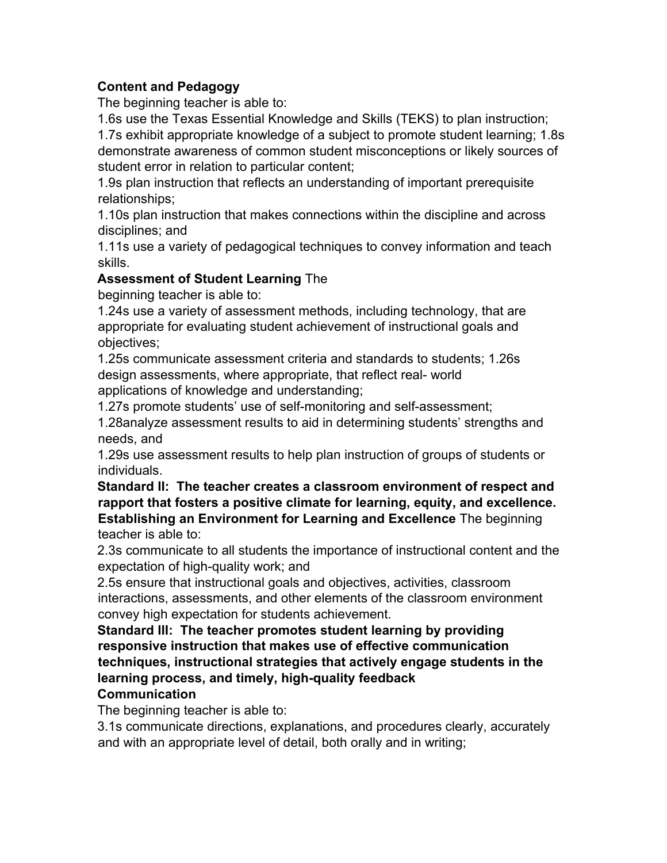### **Content and Pedagogy**

The beginning teacher is able to:

1.6s use the Texas Essential Knowledge and Skills (TEKS) to plan instruction; 1.7s exhibit appropriate knowledge of a subject to promote student learning; 1.8s demonstrate awareness of common student misconceptions or likely sources of student error in relation to particular content;

1.9s plan instruction that reflects an understanding of important prerequisite relationships;

1.10s plan instruction that makes connections within the discipline and across disciplines; and

1.11s use a variety of pedagogical techniques to convey information and teach skills.

#### **Assessment of Student Learning** The

beginning teacher is able to:

1.24s use a variety of assessment methods, including technology, that are appropriate for evaluating student achievement of instructional goals and objectives;

1.25s communicate assessment criteria and standards to students; 1.26s design assessments, where appropriate, that reflect real- world applications of knowledge and understanding;

1.27s promote students' use of self-monitoring and self-assessment;

1.28analyze assessment results to aid in determining students' strengths and needs, and

1.29s use assessment results to help plan instruction of groups of students or individuals.

**Standard II: The teacher creates a classroom environment of respect and rapport that fosters a positive climate for learning, equity, and excellence. Establishing an Environment for Learning and Excellence** The beginning teacher is able to:

2.3s communicate to all students the importance of instructional content and the expectation of high-quality work; and

2.5s ensure that instructional goals and objectives, activities, classroom interactions, assessments, and other elements of the classroom environment convey high expectation for students achievement.

**Standard III: The teacher promotes student learning by providing responsive instruction that makes use of effective communication techniques, instructional strategies that actively engage students in the learning process, and timely, high-quality feedback**

#### **Communication**

The beginning teacher is able to:

3.1s communicate directions, explanations, and procedures clearly, accurately and with an appropriate level of detail, both orally and in writing;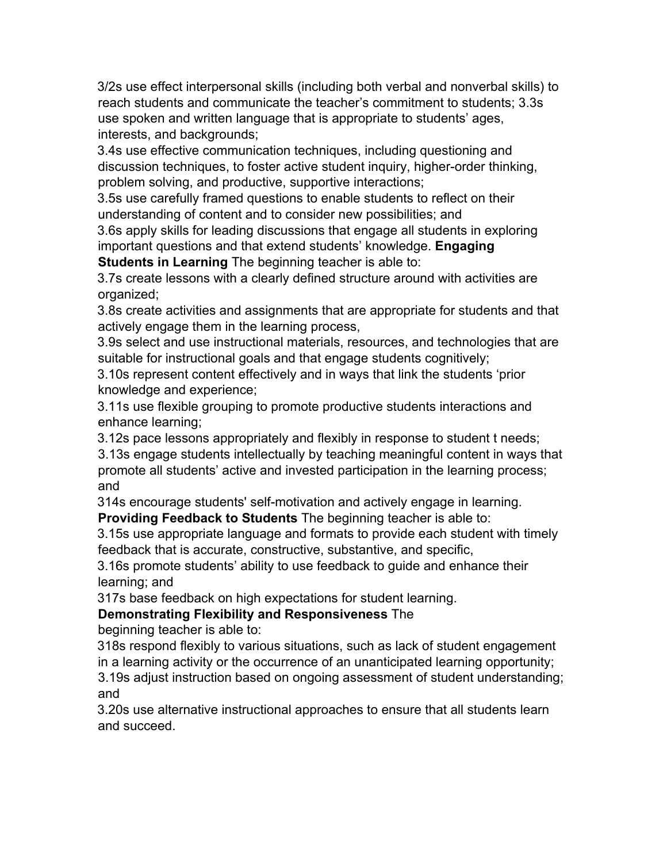3/2s use effect interpersonal skills (including both verbal and nonverbal skills) to reach students and communicate the teacher's commitment to students; 3.3s use spoken and written language that is appropriate to students' ages, interests, and backgrounds;

3.4s use effective communication techniques, including questioning and discussion techniques, to foster active student inquiry, higher-order thinking, problem solving, and productive, supportive interactions;

3.5s use carefully framed questions to enable students to reflect on their understanding of content and to consider new possibilities; and

3.6s apply skills for leading discussions that engage all students in exploring important questions and that extend students' knowledge. **Engaging Students in Learning** The beginning teacher is able to:

3.7s create lessons with a clearly defined structure around with activities are organized;

3.8s create activities and assignments that are appropriate for students and that actively engage them in the learning process,

3.9s select and use instructional materials, resources, and technologies that are suitable for instructional goals and that engage students cognitively;

3.10s represent content effectively and in ways that link the students 'prior knowledge and experience;

3.11s use flexible grouping to promote productive students interactions and enhance learning;

3.12s pace lessons appropriately and flexibly in response to student t needs;

3.13s engage students intellectually by teaching meaningful content in ways that promote all students' active and invested participation in the learning process; and

314s encourage students' self-motivation and actively engage in learning. **Providing Feedback to Students** The beginning teacher is able to:

3.15s use appropriate language and formats to provide each student with timely feedback that is accurate, constructive, substantive, and specific,

3.16s promote students' ability to use feedback to guide and enhance their learning; and

317s base feedback on high expectations for student learning.

## **Demonstrating Flexibility and Responsiveness** The

beginning teacher is able to:

318s respond flexibly to various situations, such as lack of student engagement in a learning activity or the occurrence of an unanticipated learning opportunity; 3.19s adjust instruction based on ongoing assessment of student understanding;

and

3.20s use alternative instructional approaches to ensure that all students learn and succeed.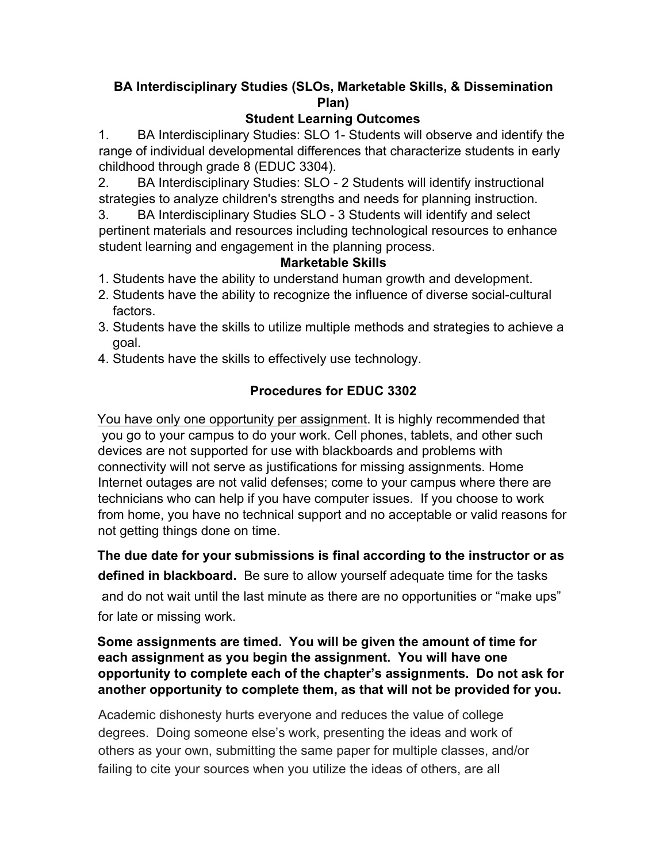## **BA Interdisciplinary Studies (SLOs, Marketable Skills, & Dissemination Plan)**

## **Student Learning Outcomes**

1. BA Interdisciplinary Studies: SLO 1- Students will observe and identify the range of individual developmental differences that characterize students in early childhood through grade 8 (EDUC 3304).

2. BA Interdisciplinary Studies: SLO - 2 Students will identify instructional strategies to analyze children's strengths and needs for planning instruction.

3. BA Interdisciplinary Studies SLO - 3 Students will identify and select pertinent materials and resources including technological resources to enhance student learning and engagement in the planning process.

### **Marketable Skills**

- 1. Students have the ability to understand human growth and development.
- 2. Students have the ability to recognize the influence of diverse social-cultural factors.
- 3. Students have the skills to utilize multiple methods and strategies to achieve a goal.
- 4. Students have the skills to effectively use technology.

# **Procedures for EDUC 3302**

You have only one opportunity per assignment. It is highly recommended that you go to your campus to do your work. Cell phones, tablets, and other such devices are not supported for use with blackboards and problems with connectivity will not serve as justifications for missing assignments. Home Internet outages are not valid defenses; come to your campus where there are technicians who can help if you have computer issues. If you choose to work from home, you have no technical support and no acceptable or valid reasons for not getting things done on time.

**The due date for your submissions is final according to the instructor or as defined in blackboard.** Be sure to allow yourself adequate time for the tasks and do not wait until the last minute as there are no opportunities or "make ups" for late or missing work.

#### **Some assignments are timed. You will be given the amount of time for each assignment as you begin the assignment. You will have one opportunity to complete each of the chapter's assignments. Do not ask for another opportunity to complete them, as that will not be provided for you.**

Academic dishonesty hurts everyone and reduces the value of college degrees. Doing someone else's work, presenting the ideas and work of others as your own, submitting the same paper for multiple classes, and/or failing to cite your sources when you utilize the ideas of others, are all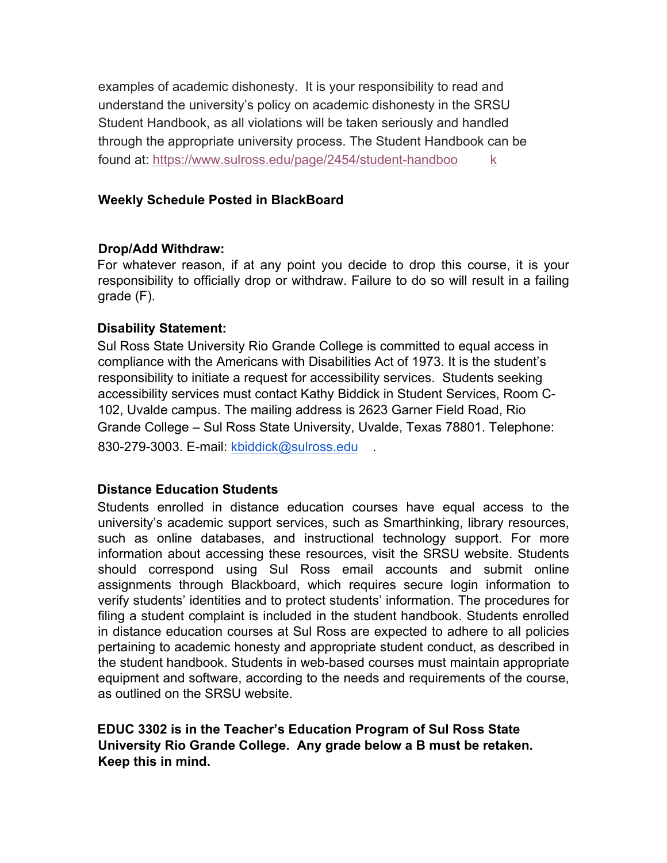examples of academic dishonesty. It is your responsibility to read and understand the university's policy on academic dishonesty in the SRSU Student Handbook, as all violations will be taken seriously and handled through the appropriate university process. The Student Handbook can be found at: https://www.sulross.edu/page/2454/student-handboo k

#### **Weekly Schedule Posted in BlackBoard**

#### **Drop/Add Withdraw:**

For whatever reason, if at any point you decide to drop this course, it is your responsibility to officially drop or withdraw. Failure to do so will result in a failing grade (F).

#### **Disability Statement:**

Sul Ross State University Rio Grande College is committed to equal access in compliance with the Americans with Disabilities Act of 1973. It is the student's responsibility to initiate a request for accessibility services. Students seeking accessibility services must contact Kathy Biddick in Student Services, Room C-102, Uvalde campus. The mailing address is 2623 Garner Field Road, Rio Grande College – Sul Ross State University, Uvalde, Texas 78801. Telephone: 830-279-3003. E-mail: kbiddick@sulross.edu

#### **Distance Education Students**

Students enrolled in distance education courses have equal access to the university's academic support services, such as Smarthinking, library resources, such as online databases, and instructional technology support. For more information about accessing these resources, visit the SRSU website. Students should correspond using Sul Ross email accounts and submit online assignments through Blackboard, which requires secure login information to verify students' identities and to protect students' information. The procedures for filing a student complaint is included in the student handbook. Students enrolled in distance education courses at Sul Ross are expected to adhere to all policies pertaining to academic honesty and appropriate student conduct, as described in the student handbook. Students in web-based courses must maintain appropriate equipment and software, according to the needs and requirements of the course, as outlined on the SRSU website.

**EDUC 3302 is in the Teacher's Education Program of Sul Ross State University Rio Grande College. Any grade below a B must be retaken. Keep this in mind.**